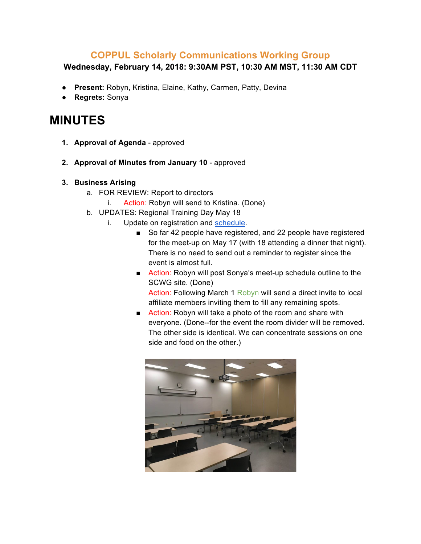## **COPPUL Scholarly Communications Working Group**

**Wednesday, February 14, 2018: 9:30AM PST, 10:30 AM MST, 11:30 AM CDT**

- **Present:** Robyn, Kristina, Elaine, Kathy, Carmen, Patty, Devina
- **Regrets:** Sonya

## **MINUTES**

- **1. Approval of Agenda** approved
- **2. Approval of Minutes from January 10** approved

## **3. Business Arising**

- a. FOR REVIEW: Report to directors
	- i. Action: Robyn will send to Kristina. (Done)
- b. UPDATES: Regional Training Day May 18
	- i. Update on registration and schedule.
		- So far 42 people have registered, and 22 people have registered for the meet-up on May 17 (with 18 attending a dinner that night). There is no need to send out a reminder to register since the event is almost full.
		- Action: Robyn will post Sonya's meet-up schedule outline to the SCWG site. (Done) Action: Following March 1 Robyn will send a direct invite to local affiliate members inviting them to fill any remaining spots.
		- Action: Robyn will take a photo of the room and share with everyone. (Done--for the event the room divider will be removed. The other side is identical. We can concentrate sessions on one side and food on the other.)